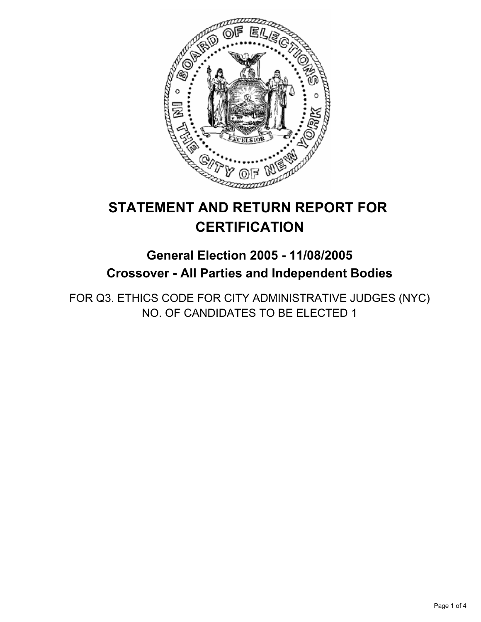

# **STATEMENT AND RETURN REPORT FOR CERTIFICATION**

## **General Election 2005 - 11/08/2005 Crossover - All Parties and Independent Bodies**

FOR Q3. ETHICS CODE FOR CITY ADMINISTRATIVE JUDGES (NYC) NO. OF CANDIDATES TO BE ELECTED 1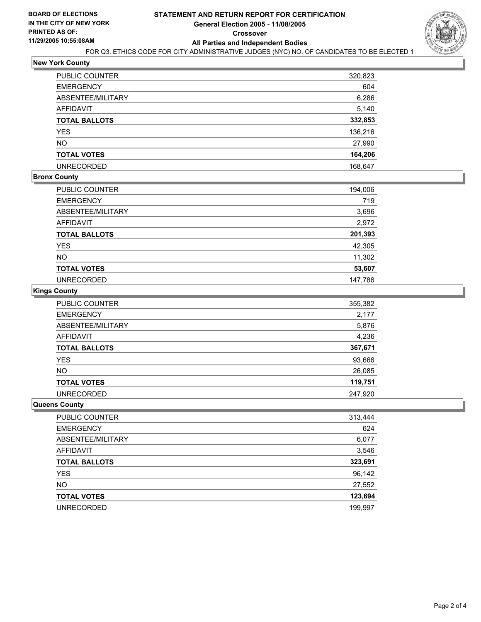

#### **New York County**

| PUBLIC COUNTER    | 320,823 |
|-------------------|---------|
| EMERGENCY         | 604     |
| ABSENTEE/MILITARY | 6,286   |
| AFFIDAVIT         | 5,140   |
| TOTAL BALLOTS     | 332,853 |
| YES               | 136,216 |
| NΟ                | 27,990  |
| TOTAL VOTES       | 164,206 |
| UNRECORDED        | 168,647 |
|                   |         |

#### **Bronx County**

| <b>PUBLIC COUNTER</b> | 194,006 |
|-----------------------|---------|
| <b>EMERGENCY</b>      | 719     |
| ABSENTEE/MILITARY     | 3,696   |
| AFFIDAVIT             | 2,972   |
| <b>TOTAL BALLOTS</b>  | 201,393 |
| YES                   | 42,305  |
| <b>NO</b>             | 11,302  |
| <b>TOTAL VOTES</b>    | 53,607  |
| <b>UNRECORDED</b>     | 147,786 |

#### **Kings County**

| <b>PUBLIC COUNTER</b> | 355,382 |
|-----------------------|---------|
| <b>EMERGENCY</b>      | 2,177   |
| ABSENTEE/MILITARY     | 5,876   |
| AFFIDAVIT             | 4,236   |
| <b>TOTAL BALLOTS</b>  | 367,671 |
| <b>YES</b>            | 93,666  |
| <b>NO</b>             | 26,085  |
| <b>TOTAL VOTES</b>    | 119,751 |
| <b>UNRECORDED</b>     | 247.920 |

#### **Queens County**

| PUBLIC COUNTER       | 313,444 |
|----------------------|---------|
| <b>EMERGENCY</b>     | 624     |
| ABSENTEE/MILITARY    | 6,077   |
| <b>AFFIDAVIT</b>     | 3,546   |
| <b>TOTAL BALLOTS</b> | 323,691 |
| <b>YES</b>           | 96,142  |
| <b>NO</b>            | 27,552  |
| <b>TOTAL VOTES</b>   | 123,694 |
| <b>UNRECORDED</b>    | 199,997 |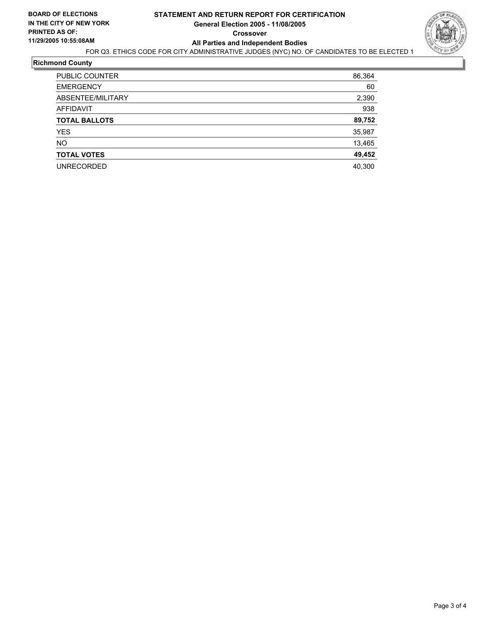

#### **Richmond County**

| <b>PUBLIC COUNTER</b> | 86,364 |
|-----------------------|--------|
| <b>EMERGENCY</b>      | 60     |
| ABSENTEE/MILITARY     | 2,390  |
| AFFIDAVIT             | 938    |
| <b>TOTAL BALLOTS</b>  | 89,752 |
| YES.                  | 35,987 |
| <b>NO</b>             | 13,465 |
| <b>TOTAL VOTES</b>    | 49,452 |
| <b>UNRECORDED</b>     | 40,300 |
|                       |        |